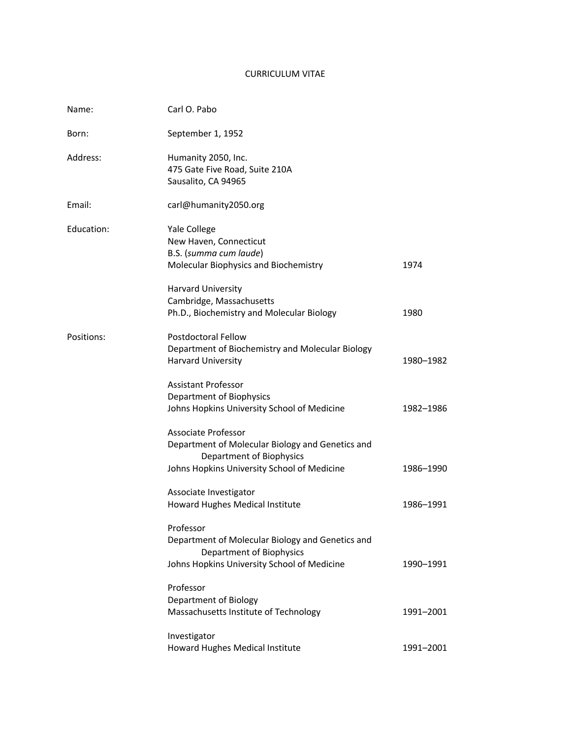# CURRICULUM VITAE

| Name:      | Carl O. Pabo                                                                                                                                       |           |
|------------|----------------------------------------------------------------------------------------------------------------------------------------------------|-----------|
| Born:      | September 1, 1952                                                                                                                                  |           |
| Address:   | Humanity 2050, Inc.<br>475 Gate Five Road, Suite 210A<br>Sausalito, CA 94965                                                                       |           |
| Email:     | carl@humanity2050.org                                                                                                                              |           |
| Education: | Yale College<br>New Haven, Connecticut<br>B.S. (summa cum laude)<br>Molecular Biophysics and Biochemistry                                          | 1974      |
|            | Harvard University<br>Cambridge, Massachusetts<br>Ph.D., Biochemistry and Molecular Biology                                                        | 1980      |
| Positions: | <b>Postdoctoral Fellow</b><br>Department of Biochemistry and Molecular Biology<br><b>Harvard University</b>                                        | 1980–1982 |
|            | <b>Assistant Professor</b><br>Department of Biophysics<br>Johns Hopkins University School of Medicine                                              | 1982-1986 |
|            | Associate Professor<br>Department of Molecular Biology and Genetics and<br>Department of Biophysics<br>Johns Hopkins University School of Medicine | 1986-1990 |
|            | Associate Investigator<br>Howard Hughes Medical Institute                                                                                          | 1986-1991 |
|            | Professor<br>Department of Molecular Biology and Genetics and<br>Department of Biophysics<br>Johns Hopkins University School of Medicine           | 1990-1991 |
|            | Professor<br>Department of Biology<br>Massachusetts Institute of Technology                                                                        | 1991-2001 |
|            | Investigator<br>Howard Hughes Medical Institute                                                                                                    | 1991-2001 |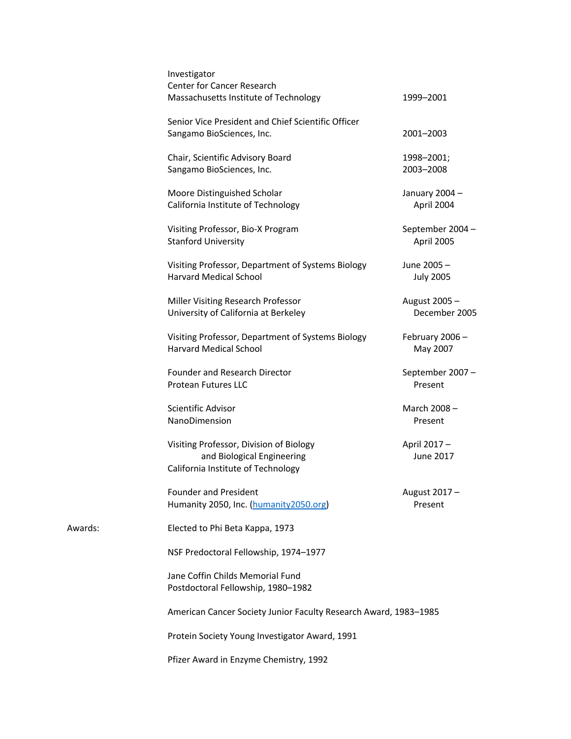| Investigator<br>Center for Cancer Research                                                                  |                                |  |
|-------------------------------------------------------------------------------------------------------------|--------------------------------|--|
| Massachusetts Institute of Technology                                                                       | 1999-2001                      |  |
| Senior Vice President and Chief Scientific Officer<br>Sangamo BioSciences, Inc.                             | 2001-2003                      |  |
| Chair, Scientific Advisory Board<br>Sangamo BioSciences, Inc.                                               | 1998-2001;<br>2003-2008        |  |
| Moore Distinguished Scholar<br>California Institute of Technology                                           | January 2004 -<br>April 2004   |  |
| Visiting Professor, Bio-X Program<br><b>Stanford University</b>                                             | September 2004 -<br>April 2005 |  |
| Visiting Professor, Department of Systems Biology<br><b>Harvard Medical School</b>                          | June 2005-<br><b>July 2005</b> |  |
| Miller Visiting Research Professor<br>University of California at Berkeley                                  | August 2005-<br>December 2005  |  |
| Visiting Professor, Department of Systems Biology<br><b>Harvard Medical School</b>                          | February 2006-<br>May 2007     |  |
| <b>Founder and Research Director</b><br><b>Protean Futures LLC</b>                                          | September 2007-<br>Present     |  |
| Scientific Advisor<br>NanoDimension                                                                         | March 2008-<br>Present         |  |
| Visiting Professor, Division of Biology<br>and Biological Engineering<br>California Institute of Technology | April 2017-<br>June 2017       |  |
| <b>Founder and President</b><br>Humanity 2050, Inc. (humanity 2050.org)                                     | August 2017-<br>Present        |  |
| Elected to Phi Beta Kappa, 1973                                                                             |                                |  |
| NSF Predoctoral Fellowship, 1974-1977                                                                       |                                |  |
| Jane Coffin Childs Memorial Fund<br>Postdoctoral Fellowship, 1980-1982                                      |                                |  |
| American Cancer Society Junior Faculty Research Award, 1983-1985                                            |                                |  |
| Protein Society Young Investigator Award, 1991                                                              |                                |  |
| Pfizer Award in Enzyme Chemistry, 1992                                                                      |                                |  |

Awards: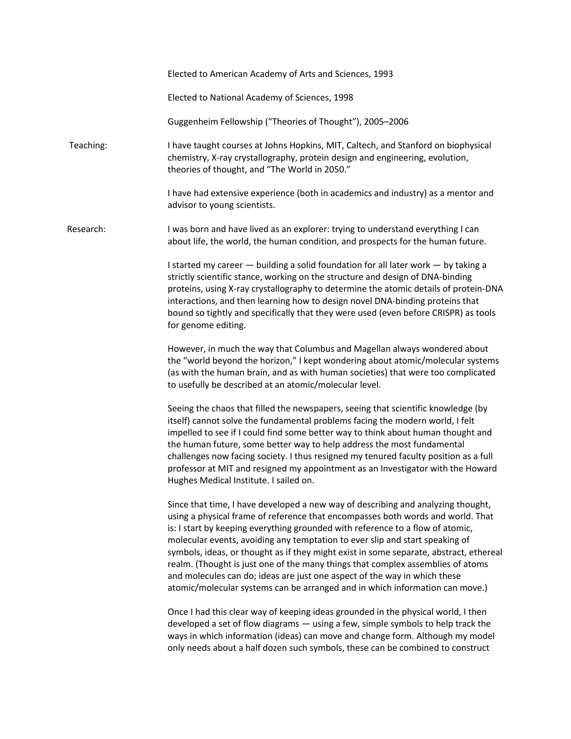Elected to American Academy of Arts and Sciences, 1993 Elected to National Academy of Sciences, 1998 Guggenheim Fellowship ("Theories of Thought"), 2005–2006 Teaching: I have taught courses at Johns Hopkins, MIT, Caltech, and Stanford on biophysical chemistry, X-ray crystallography, protein design and engineering, evolution, theories of thought, and "The World in 2050." I have had extensive experience (both in academics and industry) as a mentor and advisor to young scientists. Research: I was born and have lived as an explorer: trying to understand everything I can about life, the world, the human condition, and prospects for the human future. I started my career — building a solid foundation for all later work — by taking a strictly scientific stance, working on the structure and design of DNA-binding proteins, using X-ray crystallography to determine the atomic details of protein-DNA interactions, and then learning how to design novel DNA-binding proteins that bound so tightly and specifically that they were used (even before CRISPR) as tools for genome editing. However, in much the way that Columbus and Magellan always wondered about the "world beyond the horizon," I kept wondering about atomic/molecular systems (as with the human brain, and as with human societies) that were too complicated to usefully be described at an atomic/molecular level. Seeing the chaos that filled the newspapers, seeing that scientific knowledge (by itself) cannot solve the fundamental problems facing the modern world, I felt impelled to see if I could find some better way to think about human thought and the human future, some better way to help address the most fundamental challenges now facing society. I thus resigned my tenured faculty position as a full professor at MIT and resigned my appointment as an Investigator with the Howard Hughes Medical Institute. I sailed on. Since that time, I have developed a new way of describing and analyzing thought, using a physical frame of reference that encompasses both words and world. That is: I start by keeping everything grounded with reference to a flow of atomic, molecular events, avoiding any temptation to ever slip and start speaking of symbols, ideas, or thought as if they might exist in some separate, abstract, ethereal realm. (Thought is just one of the many things that complex assemblies of atoms and molecules can do; ideas are just one aspect of the way in which these atomic/molecular systems can be arranged and in which information can move.) Once I had this clear way of keeping ideas grounded in the physical world, I then developed a set of flow diagrams — using a few, simple symbols to help track the ways in which information (ideas) can move and change form. Although my model only needs about a half dozen such symbols, these can be combined to construct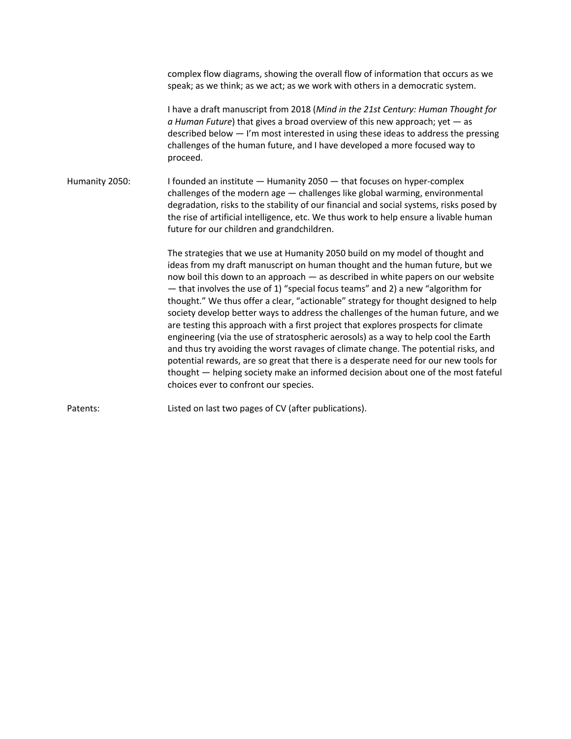complex flow diagrams, showing the overall flow of information that occurs as we speak; as we think; as we act; as we work with others in a democratic system.

I have a draft manuscript from 2018 (*Mind in the 21st Century: Human Thought for a Human Future*) that gives a broad overview of this new approach; yet — as described below — I'm most interested in using these ideas to address the pressing challenges of the human future, and I have developed a more focused way to proceed.

Humanity 2050: I founded an institute — Humanity 2050 — that focuses on hyper-complex challenges of the modern age — challenges like global warming, environmental degradation, risks to the stability of our financial and social systems, risks posed by the rise of artificial intelligence, etc. We thus work to help ensure a livable human future for our children and grandchildren.

> The strategies that we use at Humanity 2050 build on my model of thought and ideas from my draft manuscript on human thought and the human future, but we now boil this down to an approach — as described in white papers on our website — that involves the use of 1) "special focus teams" and 2) a new "algorithm for thought." We thus offer a clear, "actionable" strategy for thought designed to help society develop better ways to address the challenges of the human future, and we are testing this approach with a first project that explores prospects for climate engineering (via the use of stratospheric aerosols) as a way to help cool the Earth and thus try avoiding the worst ravages of climate change. The potential risks, and potential rewards, are so great that there is a desperate need for our new tools for thought — helping society make an informed decision about one of the most fateful choices ever to confront our species.

Patents: Listed on last two pages of CV (after publications).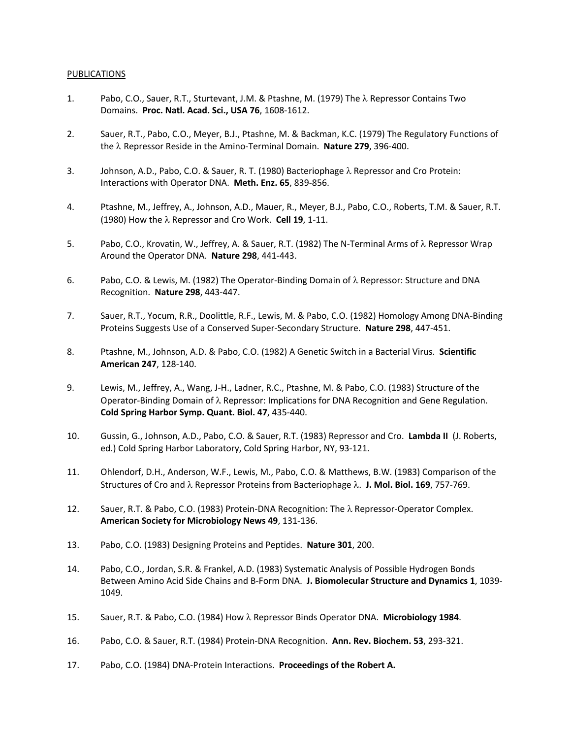## PUBLICATIONS

- 1. Pabo, C.O., Sauer, R.T., Sturtevant, J.M. & Ptashne, M. (1979) The  $\lambda$  Repressor Contains Two Domains. **Proc. Natl. Acad. Sci., USA 76**, 1608-1612.
- 2. Sauer, R.T., Pabo, C.O., Meyer, B.J., Ptashne, M. & Backman, K.C. (1979) The Regulatory Functions of the λ Repressor Reside in the Amino-Terminal Domain. Nature 279, 396-400.
- 3. Johnson, A.D., Pabo, C.O. & Sauer, R. T. (1980) Bacteriophage  $\lambda$  Repressor and Cro Protein: Interactions with Operator DNA. **Meth. Enz. 65**, 839-856.
- 4. Ptashne, M., Jeffrey, A., Johnson, A.D., Mauer, R., Meyer, B.J., Pabo, C.O., Roberts, T.M. & Sauer, R.T. (1980) How the  $\lambda$  Repressor and Cro Work. **Cell 19**, 1-11.
- 5. Pabo, C.O., Krovatin, W., Jeffrey, A. & Sauer, R.T. (1982) The N-Terminal Arms of  $\lambda$  Repressor Wrap Around the Operator DNA. **Nature 298**, 441-443.
- 6. Pabo, C.O. & Lewis, M. (1982) The Operator-Binding Domain of  $\lambda$  Repressor: Structure and DNA Recognition. **Nature 298**, 443-447.
- 7. Sauer, R.T., Yocum, R.R., Doolittle, R.F., Lewis, M. & Pabo, C.O. (1982) Homology Among DNA-Binding Proteins Suggests Use of a Conserved Super-Secondary Structure. **Nature 298**, 447-451.
- 8. Ptashne, M., Johnson, A.D. & Pabo, C.O. (1982) A Genetic Switch in a Bacterial Virus. **Scientific American 247**, 128-140.
- 9. Lewis, M., Jeffrey, A., Wang, J-H., Ladner, R.C., Ptashne, M. & Pabo, C.O. (1983) Structure of the Operator-Binding Domain of  $\lambda$  Repressor: Implications for DNA Recognition and Gene Regulation. **Cold Spring Harbor Symp. Quant. Biol. 47**, 435-440.
- 10. Gussin, G., Johnson, A.D., Pabo, C.O. & Sauer, R.T. (1983) Repressor and Cro. **Lambda II** (J. Roberts, ed.) Cold Spring Harbor Laboratory, Cold Spring Harbor, NY, 93-121.
- 11. Ohlendorf, D.H., Anderson, W.F., Lewis, M., Pabo, C.O. & Matthews, B.W. (1983) Comparison of the Structures of Cro and l Repressor Proteins from Bacteriophage l. **J. Mol. Biol. 169**, 757-769.
- 12. Sauer, R.T. & Pabo, C.O. (1983) Protein-DNA Recognition: The  $\lambda$  Repressor-Operator Complex. **American Society for Microbiology News 49**, 131-136.
- 13. Pabo, C.O. (1983) Designing Proteins and Peptides. **Nature 301**, 200.
- 14. Pabo, C.O., Jordan, S.R. & Frankel, A.D. (1983) Systematic Analysis of Possible Hydrogen Bonds Between Amino Acid Side Chains and B-Form DNA. **J. Biomolecular Structure and Dynamics 1**, 1039- 1049.
- 15. Sauer, R.T. & Pabo, C.O. (1984) How λ Repressor Binds Operator DNA. **Microbiology 1984**.
- 16. Pabo, C.O. & Sauer, R.T. (1984) Protein-DNA Recognition. **Ann. Rev. Biochem. 53**, 293-321.
- 17. Pabo, C.O. (1984) DNA-Protein Interactions. **Proceedings of the Robert A.**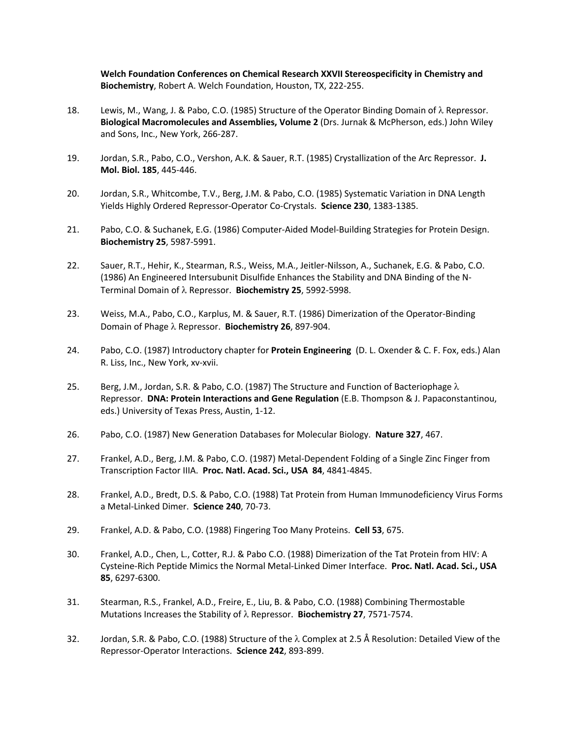**Welch Foundation Conferences on Chemical Research XXVII Stereospecificity in Chemistry and Biochemistry**, Robert A. Welch Foundation, Houston, TX, 222-255.

- 18. Lewis, M., Wang, J. & Pabo, C.O. (1985) Structure of the Operator Binding Domain of  $\lambda$  Repressor. **Biological Macromolecules and Assemblies, Volume 2** (Drs. Jurnak & McPherson, eds.) John Wiley and Sons, Inc., New York, 266-287.
- 19. Jordan, S.R., Pabo, C.O., Vershon, A.K. & Sauer, R.T. (1985) Crystallization of the Arc Repressor. **J. Mol. Biol. 185**, 445-446.
- 20. Jordan, S.R., Whitcombe, T.V., Berg, J.M. & Pabo, C.O. (1985) Systematic Variation in DNA Length Yields Highly Ordered Repressor-Operator Co-Crystals. **Science 230**, 1383-1385.
- 21. Pabo, C.O. & Suchanek, E.G. (1986) Computer-Aided Model-Building Strategies for Protein Design. **Biochemistry 25**, 5987-5991.
- 22. Sauer, R.T., Hehir, K., Stearman, R.S., Weiss, M.A., Jeitler-Nilsson, A., Suchanek, E.G. & Pabo, C.O. (1986) An Engineered Intersubunit Disulfide Enhances the Stability and DNA Binding of the N-Terminal Domain of l Repressor. **Biochemistry 25**, 5992-5998.
- 23. Weiss, M.A., Pabo, C.O., Karplus, M. & Sauer, R.T. (1986) Dimerization of the Operator-Binding Domain of Phage λ Repressor. Biochemistry 26, 897-904.
- 24. Pabo, C.O. (1987) Introductory chapter for **Protein Engineering** (D. L. Oxender & C. F. Fox, eds.) Alan R. Liss, Inc., New York, xv-xvii.
- 25. Berg, J.M., Jordan, S.R. & Pabo, C.O. (1987) The Structure and Function of Bacteriophage  $\lambda$ Repressor. **DNA: Protein Interactions and Gene Regulation** (E.B. Thompson & J. Papaconstantinou, eds.) University of Texas Press, Austin, 1-12.
- 26. Pabo, C.O. (1987) New Generation Databases for Molecular Biology. **Nature 327**, 467.
- 27. Frankel, A.D., Berg, J.M. & Pabo, C.O. (1987) Metal-Dependent Folding of a Single Zinc Finger from Transcription Factor IIIA. **Proc. Natl. Acad. Sci., USA 84**, 4841-4845.
- 28. Frankel, A.D., Bredt, D.S. & Pabo, C.O. (1988) Tat Protein from Human Immunodeficiency Virus Forms a Metal-Linked Dimer. **Science 240**, 70-73.
- 29. Frankel, A.D. & Pabo, C.O. (1988) Fingering Too Many Proteins. **Cell 53**, 675.
- 30. Frankel, A.D., Chen, L., Cotter, R.J. & Pabo C.O. (1988) Dimerization of the Tat Protein from HIV: A Cysteine-Rich Peptide Mimics the Normal Metal-Linked Dimer Interface. **Proc. Natl. Acad. Sci., USA 85**, 6297-6300.
- 31. Stearman, R.S., Frankel, A.D., Freire, E., Liu, B. & Pabo, C.O. (1988) Combining Thermostable Mutations Increases the Stability of l Repressor. **Biochemistry 27**, 7571-7574.
- 32. Jordan, S.R. & Pabo, C.O. (1988) Structure of the  $\lambda$  Complex at 2.5 Å Resolution: Detailed View of the Repressor-Operator Interactions. **Science 242**, 893-899.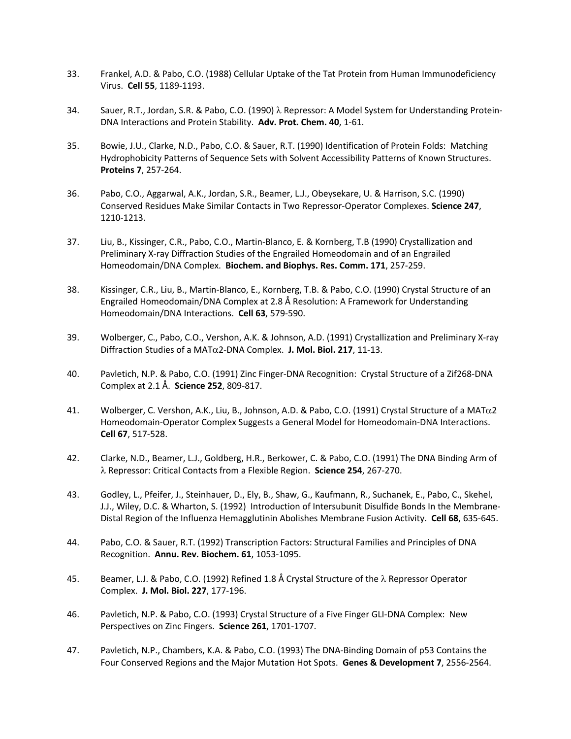- 33. Frankel, A.D. & Pabo, C.O. (1988) Cellular Uptake of the Tat Protein from Human Immunodeficiency Virus. **Cell 55**, 1189-1193.
- 34. Sauer, R.T., Jordan, S.R. & Pabo, C.O. (1990)  $\lambda$  Repressor: A Model System for Understanding Protein-DNA Interactions and Protein Stability. **Adv. Prot. Chem. 40**, 1-61.
- 35. Bowie, J.U., Clarke, N.D., Pabo, C.O. & Sauer, R.T. (1990) Identification of Protein Folds: Matching Hydrophobicity Patterns of Sequence Sets with Solvent Accessibility Patterns of Known Structures. **Proteins 7**, 257-264.
- 36. Pabo, C.O., Aggarwal, A.K., Jordan, S.R., Beamer, L.J., Obeysekare, U. & Harrison, S.C. (1990) Conserved Residues Make Similar Contacts in Two Repressor-Operator Complexes. **Science 247**, 1210-1213.
- 37. Liu, B., Kissinger, C.R., Pabo, C.O., Martin-Blanco, E. & Kornberg, T.B (1990) Crystallization and Preliminary X-ray Diffraction Studies of the Engrailed Homeodomain and of an Engrailed Homeodomain/DNA Complex. **Biochem. and Biophys. Res. Comm. 171**, 257-259.
- 38. Kissinger, C.R., Liu, B., Martin-Blanco, E., Kornberg, T.B. & Pabo, C.O. (1990) Crystal Structure of an Engrailed Homeodomain/DNA Complex at 2.8 Å Resolution: A Framework for Understanding Homeodomain/DNA Interactions. **Cell 63**, 579-590.
- 39. Wolberger, C., Pabo, C.O., Vershon, A.K. & Johnson, A.D. (1991) Crystallization and Preliminary X-ray Diffraction Studies of a MATa2-DNA Complex. **J. Mol. Biol. 217**, 11-13.
- 40. Pavletich, N.P. & Pabo, C.O. (1991) Zinc Finger-DNA Recognition: Crystal Structure of a Zif268-DNA Complex at 2.1 Å. **Science 252**, 809-817.
- 41. Wolberger, C. Vershon, A.K., Liu, B., Johnson, A.D. & Pabo, C.O. (1991) Crystal Structure of a MATa2 Homeodomain-Operator Complex Suggests a General Model for Homeodomain-DNA Interactions. **Cell 67**, 517-528.
- 42. Clarke, N.D., Beamer, L.J., Goldberg, H.R., Berkower, C. & Pabo, C.O. (1991) The DNA Binding Arm of l Repressor: Critical Contacts from a Flexible Region. **Science 254**, 267-270.
- 43. Godley, L., Pfeifer, J., Steinhauer, D., Ely, B., Shaw, G., Kaufmann, R., Suchanek, E., Pabo, C., Skehel, J.J., Wiley, D.C. & Wharton, S. (1992) Introduction of Intersubunit Disulfide Bonds In the Membrane-Distal Region of the Influenza Hemagglutinin Abolishes Membrane Fusion Activity. **Cell 68**, 635-645.
- 44. Pabo, C.O. & Sauer, R.T. (1992) Transcription Factors: Structural Families and Principles of DNA Recognition. **Annu. Rev. Biochem. 61**, 1053-1095.
- 45. Beamer, L.J. & Pabo, C.O. (1992) Refined 1.8 Å Crystal Structure of the λ Repressor Operator Complex. **J. Mol. Biol. 227**, 177-196.
- 46. Pavletich, N.P. & Pabo, C.O. (1993) Crystal Structure of a Five Finger GLI-DNA Complex: New Perspectives on Zinc Fingers. **Science 261**, 1701-1707.
- 47. Pavletich, N.P., Chambers, K.A. & Pabo, C.O. (1993) The DNA-Binding Domain of p53 Contains the Four Conserved Regions and the Major Mutation Hot Spots. **Genes & Development 7**, 2556-2564.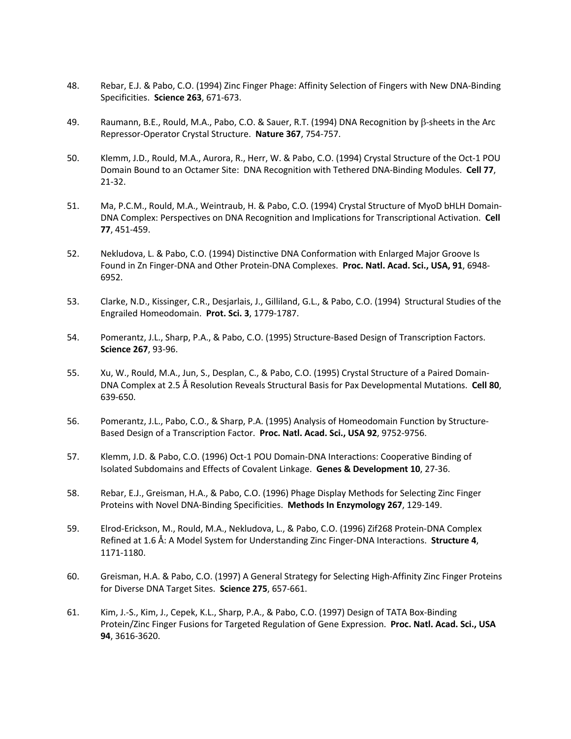- 48. Rebar, E.J. & Pabo, C.O. (1994) Zinc Finger Phage: Affinity Selection of Fingers with New DNA-Binding Specificities. **Science 263**, 671-673.
- 49. Raumann, B.E., Rould, M.A., Pabo, C.O. & Sauer, R.T. (1994) DNA Recognition by b-sheets in the Arc Repressor-Operator Crystal Structure. **Nature 367**, 754-757.
- 50. Klemm, J.D., Rould, M.A., Aurora, R., Herr, W. & Pabo, C.O. (1994) Crystal Structure of the Oct-1 POU Domain Bound to an Octamer Site: DNA Recognition with Tethered DNA-Binding Modules. **Cell 77**, 21-32.
- 51. Ma, P.C.M., Rould, M.A., Weintraub, H. & Pabo, C.O. (1994) Crystal Structure of MyoD bHLH Domain-DNA Complex: Perspectives on DNA Recognition and Implications for Transcriptional Activation. **Cell 77**, 451-459.
- 52. Nekludova, L. & Pabo, C.O. (1994) Distinctive DNA Conformation with Enlarged Major Groove Is Found in Zn Finger-DNA and Other Protein-DNA Complexes. **Proc. Natl. Acad. Sci., USA, 91**, 6948- 6952.
- 53. Clarke, N.D., Kissinger, C.R., Desjarlais, J., Gilliland, G.L., & Pabo, C.O. (1994) Structural Studies of the Engrailed Homeodomain. **Prot. Sci. 3**, 1779-1787.
- 54. Pomerantz, J.L., Sharp, P.A., & Pabo, C.O. (1995) Structure-Based Design of Transcription Factors. **Science 267**, 93-96.
- 55. Xu, W., Rould, M.A., Jun, S., Desplan, C., & Pabo, C.O. (1995) Crystal Structure of a Paired Domain-DNA Complex at 2.5 Å Resolution Reveals Structural Basis for Pax Developmental Mutations. **Cell 80**, 639-650.
- 56. Pomerantz, J.L., Pabo, C.O., & Sharp, P.A. (1995) Analysis of Homeodomain Function by Structure-Based Design of a Transcription Factor. **Proc. Natl. Acad. Sci., USA 92**, 9752-9756.
- 57. Klemm, J.D. & Pabo, C.O. (1996) Oct-1 POU Domain-DNA Interactions: Cooperative Binding of Isolated Subdomains and Effects of Covalent Linkage. **Genes & Development 10**, 27-36.
- 58. Rebar, E.J., Greisman, H.A., & Pabo, C.O. (1996) Phage Display Methods for Selecting Zinc Finger Proteins with Novel DNA-Binding Specificities. **Methods In Enzymology 267**, 129-149.
- 59. Elrod-Erickson, M., Rould, M.A., Nekludova, L., & Pabo, C.O. (1996) Zif268 Protein-DNA Complex Refined at 1.6 Å: A Model System for Understanding Zinc Finger-DNA Interactions. **Structure 4**, 1171-1180.
- 60. Greisman, H.A. & Pabo, C.O. (1997) A General Strategy for Selecting High-Affinity Zinc Finger Proteins for Diverse DNA Target Sites. **Science 275**, 657-661.
- 61. Kim, J.-S., Kim, J., Cepek, K.L., Sharp, P.A., & Pabo, C.O. (1997) Design of TATA Box-Binding Protein/Zinc Finger Fusions for Targeted Regulation of Gene Expression. **Proc. Natl. Acad. Sci., USA 94**, 3616-3620.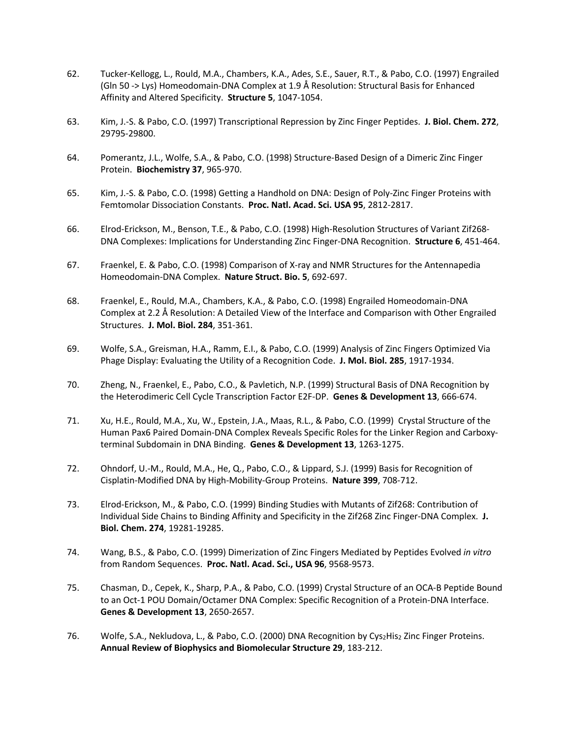- 62. Tucker-Kellogg, L., Rould, M.A., Chambers, K.A., Ades, S.E., Sauer, R.T., & Pabo, C.O. (1997) Engrailed (Gln 50 -> Lys) Homeodomain-DNA Complex at 1.9 Å Resolution: Structural Basis for Enhanced Affinity and Altered Specificity. **Structure 5**, 1047-1054.
- 63. Kim, J.-S. & Pabo, C.O. (1997) Transcriptional Repression by Zinc Finger Peptides. **J. Biol. Chem. 272**, 29795-29800.
- 64. Pomerantz, J.L., Wolfe, S.A., & Pabo, C.O. (1998) Structure-Based Design of a Dimeric Zinc Finger Protein. **Biochemistry 37**, 965-970.
- 65. Kim, J.-S. & Pabo, C.O. (1998) Getting a Handhold on DNA: Design of Poly-Zinc Finger Proteins with Femtomolar Dissociation Constants. **Proc. Natl. Acad. Sci. USA 95**, 2812-2817.
- 66. Elrod-Erickson, M., Benson, T.E., & Pabo, C.O. (1998) High-Resolution Structures of Variant Zif268- DNA Complexes: Implications for Understanding Zinc Finger-DNA Recognition. **Structure 6**, 451-464.
- 67. Fraenkel, E. & Pabo, C.O. (1998) Comparison of X-ray and NMR Structures for the Antennapedia Homeodomain-DNA Complex. **Nature Struct. Bio. 5**, 692-697.
- 68. Fraenkel, E., Rould, M.A., Chambers, K.A., & Pabo, C.O. (1998) Engrailed Homeodomain-DNA Complex at 2.2 Å Resolution: A Detailed View of the Interface and Comparison with Other Engrailed Structures. **J. Mol. Biol. 284**, 351-361.
- 69. Wolfe, S.A., Greisman, H.A., Ramm, E.I., & Pabo, C.O. (1999) Analysis of Zinc Fingers Optimized Via Phage Display: Evaluating the Utility of a Recognition Code. **J. Mol. Biol. 285**, 1917-1934.
- 70. Zheng, N., Fraenkel, E., Pabo, C.O., & Pavletich, N.P. (1999) Structural Basis of DNA Recognition by the Heterodimeric Cell Cycle Transcription Factor E2F-DP. **Genes & Development 13**, 666-674.
- 71. Xu, H.E., Rould, M.A., Xu, W., Epstein, J.A., Maas, R.L., & Pabo, C.O. (1999) Crystal Structure of the Human Pax6 Paired Domain-DNA Complex Reveals Specific Roles for the Linker Region and Carboxyterminal Subdomain in DNA Binding. **Genes & Development 13**, 1263-1275.
- 72. Ohndorf, U.-M., Rould, M.A., He, Q., Pabo, C.O., & Lippard, S.J. (1999) Basis for Recognition of Cisplatin-Modified DNA by High-Mobility-Group Proteins. **Nature 399**, 708-712.
- 73. Elrod-Erickson, M., & Pabo, C.O. (1999) Binding Studies with Mutants of Zif268: Contribution of Individual Side Chains to Binding Affinity and Specificity in the Zif268 Zinc Finger-DNA Complex. **J. Biol. Chem. 274**, 19281-19285.
- 74. Wang, B.S., & Pabo, C.O. (1999) Dimerization of Zinc Fingers Mediated by Peptides Evolved *in vitro* from Random Sequences. **Proc. Natl. Acad. Sci., USA 96**, 9568-9573.
- 75. Chasman, D., Cepek, K., Sharp, P.A., & Pabo, C.O. (1999) Crystal Structure of an OCA-B Peptide Bound to an Oct-1 POU Domain/Octamer DNA Complex: Specific Recognition of a Protein-DNA Interface. **Genes & Development 13**, 2650-2657.
- 76. Wolfe, S.A., Nekludova, L., & Pabo, C.O. (2000) DNA Recognition by Cys2His2 Zinc Finger Proteins. **Annual Review of Biophysics and Biomolecular Structure 29**, 183-212.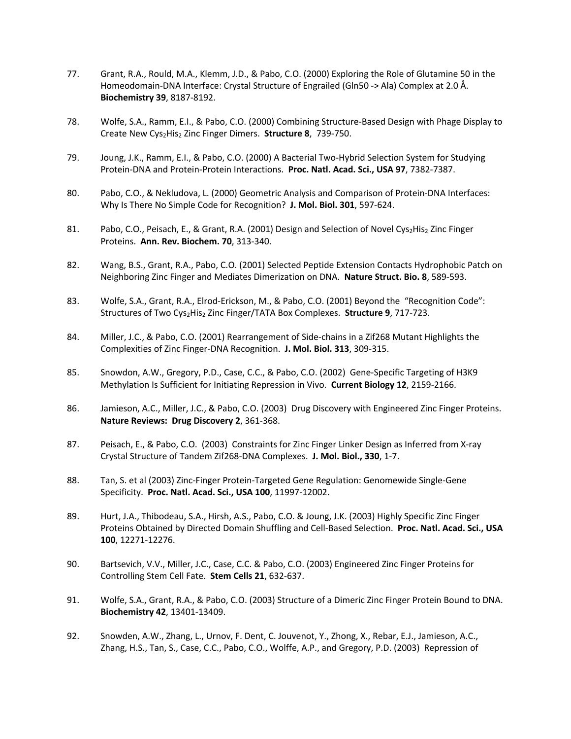- 77. Grant, R.A., Rould, M.A., Klemm, J.D., & Pabo, C.O. (2000) Exploring the Role of Glutamine 50 in the Homeodomain-DNA Interface: Crystal Structure of Engrailed (Gln50 -> Ala) Complex at 2.0 Å. **Biochemistry 39**, 8187-8192.
- 78. Wolfe, S.A., Ramm, E.I., & Pabo, C.O. (2000) Combining Structure-Based Design with Phage Display to Create New Cys2His2 Zinc Finger Dimers. **Structure 8**, 739-750.
- 79. Joung, J.K., Ramm, E.I., & Pabo, C.O. (2000) A Bacterial Two-Hybrid Selection System for Studying Protein-DNA and Protein-Protein Interactions. **Proc. Natl. Acad. Sci., USA 97**, 7382-7387.
- 80. Pabo, C.O., & Nekludova, L. (2000) Geometric Analysis and Comparison of Protein-DNA Interfaces: Why Is There No Simple Code for Recognition? **J. Mol. Biol. 301**, 597-624.
- 81. Pabo, C.O., Peisach, E., & Grant, R.A. (2001) Design and Selection of Novel Cys<sub>2</sub>His<sub>2</sub> Zinc Finger Proteins. **Ann. Rev. Biochem. 70**, 313-340.
- 82. Wang, B.S., Grant, R.A., Pabo, C.O. (2001) Selected Peptide Extension Contacts Hydrophobic Patch on Neighboring Zinc Finger and Mediates Dimerization on DNA. **Nature Struct. Bio. 8**, 589-593.
- 83. Wolfe, S.A., Grant, R.A., Elrod-Erickson, M., & Pabo, C.O. (2001) Beyond the "Recognition Code": Structures of Two Cys<sub>2</sub>His<sub>2</sub> Zinc Finger/TATA Box Complexes. Structure 9, 717-723.
- 84. Miller, J.C., & Pabo, C.O. (2001) Rearrangement of Side-chains in a Zif268 Mutant Highlights the Complexities of Zinc Finger-DNA Recognition. **J. Mol. Biol. 313**, 309-315.
- 85. Snowdon, A.W., Gregory, P.D., Case, C.C., & Pabo, C.O. (2002) Gene-Specific Targeting of H3K9 Methylation Is Sufficient for Initiating Repression in Vivo. **Current Biology 12**, 2159-2166.
- 86. Jamieson, A.C., Miller, J.C., & Pabo, C.O. (2003) Drug Discovery with Engineered Zinc Finger Proteins. **Nature Reviews: Drug Discovery 2**, 361-368.
- 87. Peisach, E., & Pabo, C.O. (2003) Constraints for Zinc Finger Linker Design as Inferred from X-ray Crystal Structure of Tandem Zif268-DNA Complexes. **J. Mol. Biol., 330**, 1-7.
- 88. Tan, S. et al (2003) Zinc-Finger Protein-Targeted Gene Regulation: Genomewide Single-Gene Specificity. **Proc. Natl. Acad. Sci., USA 100**, 11997-12002.
- 89. Hurt, J.A., Thibodeau, S.A., Hirsh, A.S., Pabo, C.O. & Joung, J.K. (2003) Highly Specific Zinc Finger Proteins Obtained by Directed Domain Shuffling and Cell-Based Selection. **Proc. Natl. Acad. Sci., USA 100**, 12271-12276.
- 90. Bartsevich, V.V., Miller, J.C., Case, C.C. & Pabo, C.O. (2003) Engineered Zinc Finger Proteins for Controlling Stem Cell Fate. **Stem Cells 21**, 632-637.
- 91. Wolfe, S.A., Grant, R.A., & Pabo, C.O. (2003) Structure of a Dimeric Zinc Finger Protein Bound to DNA. **Biochemistry 42**, 13401-13409.
- 92. Snowden, A.W., Zhang, L., Urnov, F. Dent, C. Jouvenot, Y., Zhong, X., Rebar, E.J., Jamieson, A.C., Zhang, H.S., Tan, S., Case, C.C., Pabo, C.O., Wolffe, A.P., and Gregory, P.D. (2003) Repression of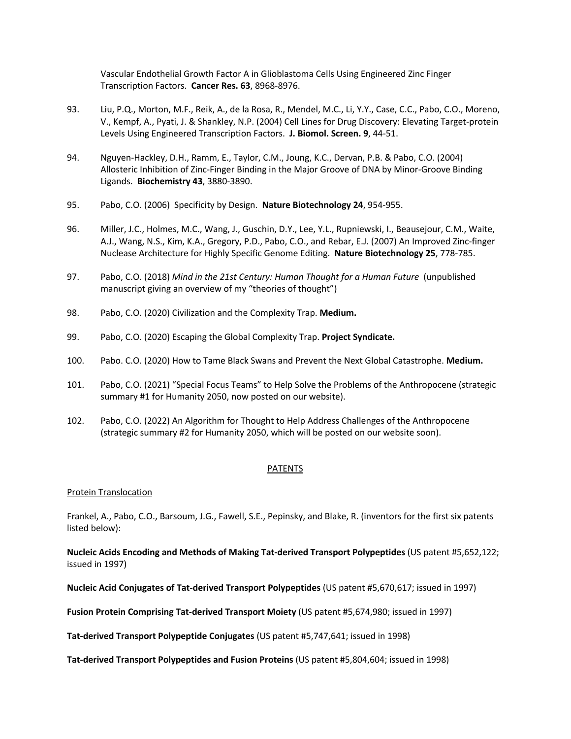Vascular Endothelial Growth Factor A in Glioblastoma Cells Using Engineered Zinc Finger Transcription Factors. **Cancer Res. 63**, 8968-8976.

- 93. Liu, P.Q., Morton, M.F., Reik, A., de la Rosa, R., Mendel, M.C., Li, Y.Y., Case, C.C., Pabo, C.O., Moreno, V., Kempf, A., Pyati, J. & Shankley, N.P. (2004) Cell Lines for Drug Discovery: Elevating Target-protein Levels Using Engineered Transcription Factors. **J. Biomol. Screen. 9**, 44-51.
- 94. Nguyen-Hackley, D.H., Ramm, E., Taylor, C.M., Joung, K.C., Dervan, P.B. & Pabo, C.O. (2004) Allosteric Inhibition of Zinc-Finger Binding in the Major Groove of DNA by Minor-Groove Binding Ligands. **Biochemistry 43**, 3880-3890.
- 95. Pabo, C.O. (2006) Specificity by Design. **Nature Biotechnology 24**, 954-955.
- 96. Miller, J.C., Holmes, M.C., Wang, J., Guschin, D.Y., Lee, Y.L., Rupniewski, I., Beausejour, C.M., Waite, A.J., Wang, N.S., Kim, K.A., Gregory, P.D., Pabo, C.O., and Rebar, E.J. (2007) An Improved Zinc-finger Nuclease Architecture for Highly Specific Genome Editing. **Nature Biotechnology 25**, 778-785.
- 97. Pabo, C.O. (2018) *Mind in the 21st Century: Human Thought for a Human Future* (unpublished manuscript giving an overview of my "theories of thought")
- 98. Pabo, C.O. (2020) Civilization and the Complexity Trap. **Medium.**
- 99. Pabo, C.O. (2020) Escaping the Global Complexity Trap. **Project Syndicate.**
- 100. Pabo. C.O. (2020) How to Tame Black Swans and Prevent the Next Global Catastrophe. **Medium.**
- 101. Pabo, C.O. (2021) "Special Focus Teams" to Help Solve the Problems of the Anthropocene (strategic summary #1 for Humanity 2050, now posted on our website).
- 102. Pabo, C.O. (2022) An Algorithm for Thought to Help Address Challenges of the Anthropocene (strategic summary #2 for Humanity 2050, which will be posted on our website soon).

#### PATENTS

#### Protein Translocation

Frankel, A., Pabo, C.O., Barsoum, J.G., Fawell, S.E., Pepinsky, and Blake, R. (inventors for the first six patents listed below):

**Nucleic Acids Encoding and Methods of Making Tat-derived Transport Polypeptides** (US patent #5,652,122; issued in 1997)

**Nucleic Acid Conjugates of Tat-derived Transport Polypeptides** (US patent #5,670,617; issued in 1997)

**Fusion Protein Comprising Tat-derived Transport Moiety** (US patent #5,674,980; issued in 1997)

**Tat-derived Transport Polypeptide Conjugates** (US patent #5,747,641; issued in 1998)

**Tat-derived Transport Polypeptides and Fusion Proteins** (US patent #5,804,604; issued in 1998)